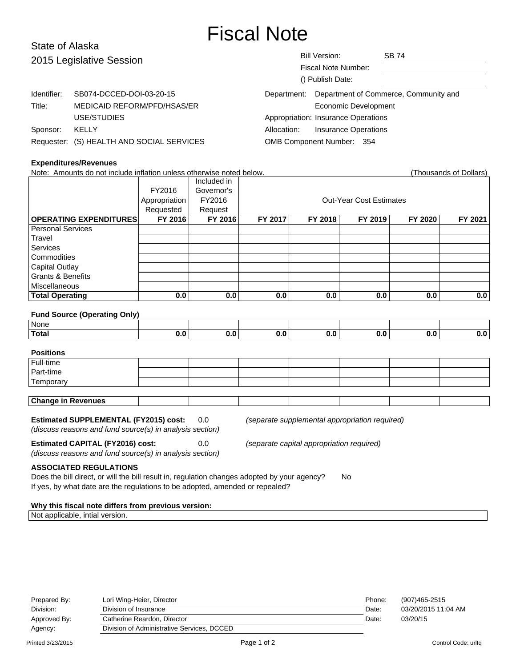## Fiscal Note

| State of Alaska          |                                           |                           |                                     |                                       |  |
|--------------------------|-------------------------------------------|---------------------------|-------------------------------------|---------------------------------------|--|
| 2015 Legislative Session |                                           | <b>Bill Version:</b>      |                                     | <b>SB 74</b>                          |  |
|                          |                                           |                           | Fiscal Note Number:                 |                                       |  |
|                          |                                           |                           | () Publish Date:                    |                                       |  |
| Identifier:              | SB074-DCCED-DOI-03-20-15                  | Department:               |                                     | Department of Commerce, Community and |  |
| Title:                   | MEDICAID REFORM/PFD/HSAS/ER               |                           | Economic Development                |                                       |  |
|                          | USE/STUDIES                               |                           | Appropriation: Insurance Operations |                                       |  |
| Sponsor:                 | KELLY                                     | Allocation:               | <b>Insurance Operations</b>         |                                       |  |
|                          | Requester: (S) HEALTH AND SOCIAL SERVICES | OMB Component Number: 354 |                                     |                                       |  |

#### **Expenditures/Revenues**

| Note: Amounts do not include inflation unless otherwise noted below.<br>(Thousands of Dollars) |               |             |                                |         |         |         |         |  |
|------------------------------------------------------------------------------------------------|---------------|-------------|--------------------------------|---------|---------|---------|---------|--|
|                                                                                                |               | Included in |                                |         |         |         |         |  |
|                                                                                                | FY2016        | Governor's  |                                |         |         |         |         |  |
|                                                                                                | Appropriation | FY2016      | <b>Out-Year Cost Estimates</b> |         |         |         |         |  |
|                                                                                                | Requested     | Request     |                                |         |         |         |         |  |
| <b>OPERATING EXPENDITURES</b>                                                                  | FY 2016       | FY 2016     | FY 2017                        | FY 2018 | FY 2019 | FY 2020 | FY 2021 |  |
| <b>Personal Services</b>                                                                       |               |             |                                |         |         |         |         |  |
| Travel                                                                                         |               |             |                                |         |         |         |         |  |
| <b>Services</b>                                                                                |               |             |                                |         |         |         |         |  |
| Commodities                                                                                    |               |             |                                |         |         |         |         |  |
| <b>Capital Outlay</b>                                                                          |               |             |                                |         |         |         |         |  |
| <b>Grants &amp; Benefits</b>                                                                   |               |             |                                |         |         |         |         |  |
| <b>Miscellaneous</b>                                                                           |               |             |                                |         |         |         |         |  |
| <b>Total Operating</b>                                                                         | 0.0           | 0.0         | 0.0                            | 0.0     | 0.0     | 0.0     | 0.0     |  |
|                                                                                                |               |             |                                |         |         |         |         |  |
| <b>Fund Source (Operating Only)</b>                                                            |               |             |                                |         |         |         |         |  |
| <b>None</b>                                                                                    |               |             |                                |         |         |         |         |  |
| <b>Total</b>                                                                                   | 0.0           | 0.0         | 0.0                            | 0.0     | 0.0     | 0.0     | 0.0     |  |
|                                                                                                |               |             |                                |         |         |         |         |  |
| <b>Positions</b>                                                                               |               |             |                                |         |         |         |         |  |
| Full-time                                                                                      |               |             |                                |         |         |         |         |  |
| Part-time                                                                                      |               |             |                                |         |         |         |         |  |
| Temporary                                                                                      |               |             |                                |         |         |         |         |  |

# **Change in Revenues**

(discuss reasons and fund source(s) in analysis section)

**Estimated SUPPLEMENTAL (FY2015) cost:** 0.0 (separate supplemental appropriation required)

**Estimated CAPITAL (FY2016) cost:** 0.0 (separate capital appropriation required)

(discuss reasons and fund source(s) in analysis section)

### **ASSOCIATED REGULATIONS**

Does the bill direct, or will the bill result in, regulation changes adopted by your agency? No If yes, by what date are the regulations to be adopted, amended or repealed?

### **Why this fiscal note differs from previous version:**

Not applicable, intial version.

| Prepared By: | Lori Wing-Heier, Director                  | Phone: | (907)465-2515       |
|--------------|--------------------------------------------|--------|---------------------|
| Division:    | Division of Insurance                      | Date:  | 03/20/2015 11:04 AM |
| Approved By: | Catherine Reardon, Director                | Date:  | 03/20/15            |
| Agency:      | Division of Administrative Services, DCCED |        |                     |